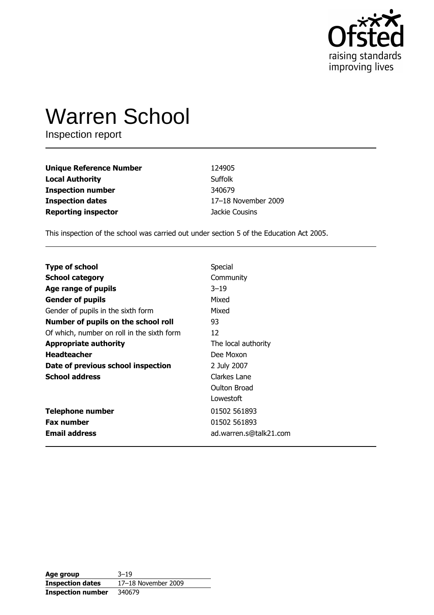

# **Warren School**

Inspection report

| <b>Unique Reference Number</b> | 124905              |
|--------------------------------|---------------------|
| <b>Local Authority</b>         | Suffolk             |
| <b>Inspection number</b>       | 340679              |
| <b>Inspection dates</b>        | 17-18 November 2009 |
| <b>Reporting inspector</b>     | Jackie Cousins      |

This inspection of the school was carried out under section 5 of the Education Act 2005.

| <b>Type of school</b>                      | Special                |
|--------------------------------------------|------------------------|
| <b>School category</b>                     | Community              |
| Age range of pupils                        | $3 - 19$               |
| <b>Gender of pupils</b>                    | Mixed                  |
| Gender of pupils in the sixth form         | Mixed                  |
| Number of pupils on the school roll        | 93                     |
| Of which, number on roll in the sixth form | 12                     |
| <b>Appropriate authority</b>               | The local authority    |
| <b>Headteacher</b>                         | Dee Moxon              |
| Date of previous school inspection         | 2 July 2007            |
| <b>School address</b>                      | Clarkes Lane           |
|                                            | Oulton Broad           |
|                                            | Lowestoft              |
| <b>Telephone number</b>                    | 01502 561893           |
| <b>Fax number</b>                          | 01502 561893           |
| <b>Email address</b>                       | ad.warren.s@talk21.com |

| Age group               | $3 - 19$            |
|-------------------------|---------------------|
| <b>Inspection dates</b> | 17-18 November 2009 |
| Inspection number       | 340679              |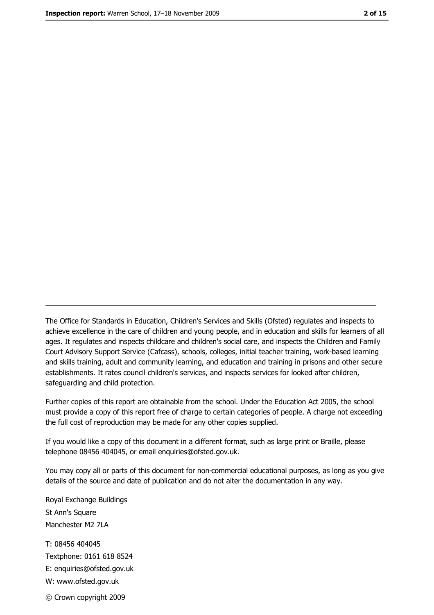The Office for Standards in Education, Children's Services and Skills (Ofsted) regulates and inspects to achieve excellence in the care of children and young people, and in education and skills for learners of all ages. It regulates and inspects childcare and children's social care, and inspects the Children and Family Court Advisory Support Service (Cafcass), schools, colleges, initial teacher training, work-based learning and skills training, adult and community learning, and education and training in prisons and other secure establishments. It rates council children's services, and inspects services for looked after children, safequarding and child protection.

Further copies of this report are obtainable from the school. Under the Education Act 2005, the school must provide a copy of this report free of charge to certain categories of people. A charge not exceeding the full cost of reproduction may be made for any other copies supplied.

If you would like a copy of this document in a different format, such as large print or Braille, please telephone 08456 404045, or email enquiries@ofsted.gov.uk.

You may copy all or parts of this document for non-commercial educational purposes, as long as you give details of the source and date of publication and do not alter the documentation in any way.

Royal Exchange Buildings St Ann's Square Manchester M2 7LA T: 08456 404045 Textphone: 0161 618 8524 E: enquiries@ofsted.gov.uk W: www.ofsted.gov.uk © Crown copyright 2009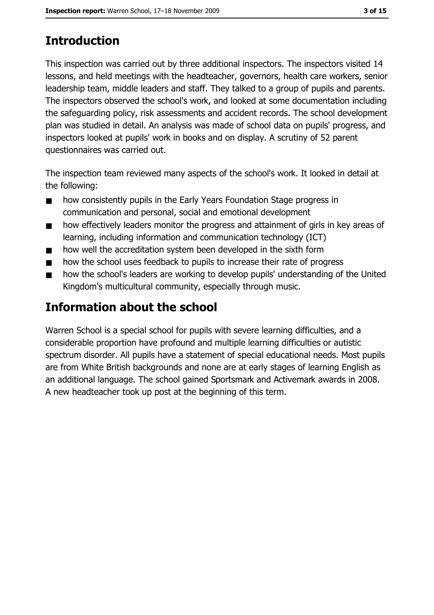# **Introduction**

This inspection was carried out by three additional inspectors. The inspectors visited 14 lessons, and held meetings with the headteacher, governors, health care workers, senior leadership team, middle leaders and staff. They talked to a group of pupils and parents. The inspectors observed the school's work, and looked at some documentation including the safeguarding policy, risk assessments and accident records. The school development plan was studied in detail. An analysis was made of school data on pupils' progress, and inspectors looked at pupils' work in books and on display. A scrutiny of 52 parent questionnaires was carried out.

The inspection team reviewed many aspects of the school's work. It looked in detail at the following:

- how consistently pupils in the Early Years Foundation Stage progress in  $\blacksquare$ communication and personal, social and emotional development
- how effectively leaders monitor the progress and attainment of girls in key areas of  $\blacksquare$ learning, including information and communication technology (ICT)
- how well the accreditation system been developed in the sixth form  $\blacksquare$
- how the school uses feedback to pupils to increase their rate of progress  $\blacksquare$
- how the school's leaders are working to develop pupils' understanding of the United  $\blacksquare$ Kingdom's multicultural community, especially through music.

# **Information about the school**

Warren School is a special school for pupils with severe learning difficulties, and a considerable proportion have profound and multiple learning difficulties or autistic spectrum disorder. All pupils have a statement of special educational needs. Most pupils are from White British backgrounds and none are at early stages of learning English as an additional language. The school gained Sportsmark and Activemark awards in 2008. A new headteacher took up post at the beginning of this term.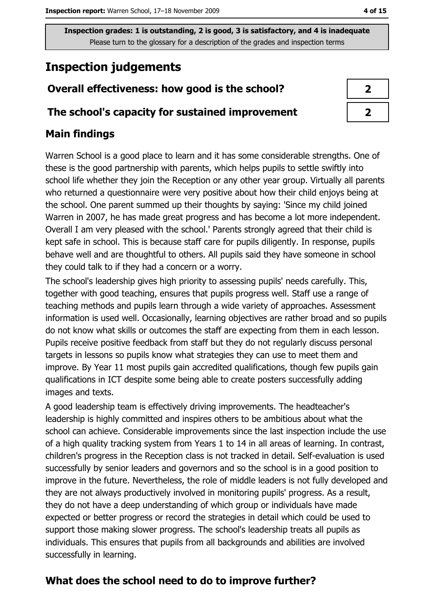# **Inspection judgements**

## Overall effectiveness: how good is the school?

#### The school's capacity for sustained improvement

## **Main findings**

Warren School is a good place to learn and it has some considerable strengths. One of these is the good partnership with parents, which helps pupils to settle swiftly into school life whether they join the Reception or any other year group. Virtually all parents who returned a questionnaire were very positive about how their child enjoys being at the school. One parent summed up their thoughts by saying: 'Since my child joined Warren in 2007, he has made great progress and has become a lot more independent. Overall I am very pleased with the school.' Parents strongly agreed that their child is kept safe in school. This is because staff care for pupils diligently. In response, pupils behave well and are thoughtful to others. All pupils said they have someone in school they could talk to if they had a concern or a worry.

The school's leadership gives high priority to assessing pupils' needs carefully. This, together with good teaching, ensures that pupils progress well. Staff use a range of teaching methods and pupils learn through a wide variety of approaches. Assessment information is used well. Occasionally, learning objectives are rather broad and so pupils do not know what skills or outcomes the staff are expecting from them in each lesson. Pupils receive positive feedback from staff but they do not regularly discuss personal targets in lessons so pupils know what strategies they can use to meet them and improve. By Year 11 most pupils gain accredited qualifications, though few pupils gain qualifications in ICT despite some being able to create posters successfully adding images and texts.

A good leadership team is effectively driving improvements. The headteacher's leadership is highly committed and inspires others to be ambitious about what the school can achieve. Considerable improvements since the last inspection include the use of a high quality tracking system from Years 1 to 14 in all areas of learning. In contrast, children's progress in the Reception class is not tracked in detail. Self-evaluation is used successfully by senior leaders and governors and so the school is in a good position to improve in the future. Nevertheless, the role of middle leaders is not fully developed and they are not always productively involved in monitoring pupils' progress. As a result, they do not have a deep understanding of which group or individuals have made expected or better progress or record the strategies in detail which could be used to support those making slower progress. The school's leadership treats all pupils as individuals. This ensures that pupils from all backgrounds and abilities are involved successfully in learning.

## What does the school need to do to improve further?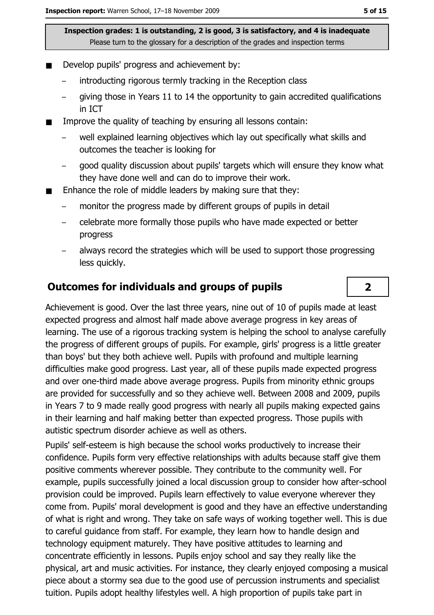- Develop pupils' progress and achievement by:
	- introducting rigorous termly tracking in the Reception class
	- giving those in Years 11 to 14 the opportunity to gain accredited qualifications in ICT
- Improve the quality of teaching by ensuring all lessons contain:  $\blacksquare$ 
	- well explained learning objectives which lay out specifically what skills and outcomes the teacher is looking for
	- good quality discussion about pupils' targets which will ensure they know what they have done well and can do to improve their work.
- Enhance the role of middle leaders by making sure that they:
	- monitor the progress made by different groups of pupils in detail
	- celebrate more formally those pupils who have made expected or better progress
	- always record the strategies which will be used to support those progressing less quickly.

#### **Outcomes for individuals and groups of pupils**

Achievement is good. Over the last three years, nine out of 10 of pupils made at least expected progress and almost half made above average progress in key areas of learning. The use of a rigorous tracking system is helping the school to analyse carefully the progress of different groups of pupils. For example, girls' progress is a little greater than boys' but they both achieve well. Pupils with profound and multiple learning difficulties make good progress. Last year, all of these pupils made expected progress and over one-third made above average progress. Pupils from minority ethnic groups are provided for successfully and so they achieve well. Between 2008 and 2009, pupils in Years 7 to 9 made really good progress with nearly all pupils making expected gains in their learning and half making better than expected progress. Those pupils with autistic spectrum disorder achieve as well as others.

Pupils' self-esteem is high because the school works productively to increase their confidence. Pupils form very effective relationships with adults because staff give them positive comments wherever possible. They contribute to the community well. For example, pupils successfully joined a local discussion group to consider how after-school provision could be improved. Pupils learn effectively to value everyone wherever they come from. Pupils' moral development is good and they have an effective understanding of what is right and wrong. They take on safe ways of working together well. This is due to careful quidance from staff. For example, they learn how to handle design and technology equipment maturely. They have positive attitudes to learning and concentrate efficiently in lessons. Pupils enjoy school and say they really like the physical, art and music activities. For instance, they clearly enjoyed composing a musical piece about a stormy sea due to the good use of percussion instruments and specialist tuition. Pupils adopt healthy lifestyles well. A high proportion of pupils take part in

 $\overline{2}$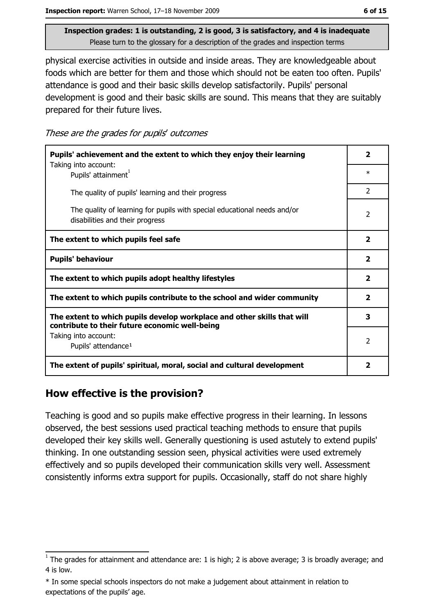physical exercise activities in outside and inside areas. They are knowledgeable about foods which are better for them and those which should not be eaten too often. Pupils' attendance is good and their basic skills develop satisfactorily. Pupils' personal development is good and their basic skills are sound. This means that they are suitably prepared for their future lives.

These are the grades for pupils' outcomes

| Pupils' achievement and the extent to which they enjoy their learning                                                     |                         |
|---------------------------------------------------------------------------------------------------------------------------|-------------------------|
| Taking into account:<br>Pupils' attainment <sup>1</sup>                                                                   | $\ast$                  |
| The quality of pupils' learning and their progress                                                                        | $\mathcal{P}$           |
| The quality of learning for pupils with special educational needs and/or<br>disabilities and their progress               | 2                       |
| The extent to which pupils feel safe                                                                                      | $\overline{\mathbf{2}}$ |
| <b>Pupils' behaviour</b>                                                                                                  | $\overline{\mathbf{2}}$ |
| The extent to which pupils adopt healthy lifestyles                                                                       | $\overline{\mathbf{2}}$ |
| The extent to which pupils contribute to the school and wider community                                                   | $\overline{\mathbf{2}}$ |
| The extent to which pupils develop workplace and other skills that will<br>contribute to their future economic well-being | 3                       |
| Taking into account:                                                                                                      |                         |
| Pupils' attendance <sup>1</sup>                                                                                           | $\overline{2}$          |
| The extent of pupils' spiritual, moral, social and cultural development                                                   |                         |

### How effective is the provision?

Teaching is good and so pupils make effective progress in their learning. In lessons observed, the best sessions used practical teaching methods to ensure that pupils developed their key skills well. Generally questioning is used astutely to extend pupils' thinking. In one outstanding session seen, physical activities were used extremely effectively and so pupils developed their communication skills very well. Assessment consistently informs extra support for pupils. Occasionally, staff do not share highly

 $\frac{1}{1}$  The grades for attainment and attendance are: 1 is high; 2 is above average; 3 is broadly average; and 4 is low.

<sup>\*</sup> In some special schools inspectors do not make a judgement about attainment in relation to expectations of the pupils' age.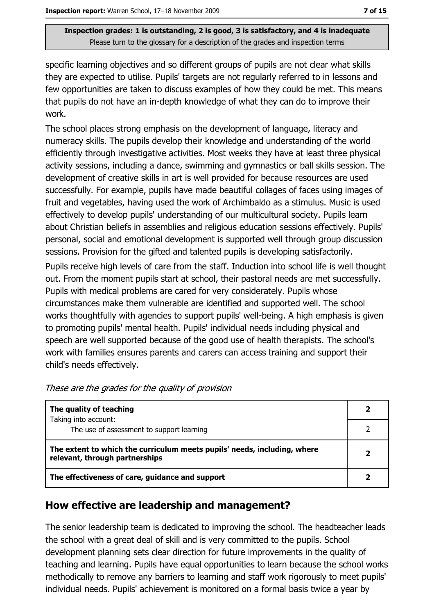specific learning objectives and so different groups of pupils are not clear what skills they are expected to utilise. Pupils' targets are not regularly referred to in lessons and few opportunities are taken to discuss examples of how they could be met. This means that pupils do not have an in-depth knowledge of what they can do to improve their work.

The school places strong emphasis on the development of language, literacy and numeracy skills. The pupils develop their knowledge and understanding of the world efficiently through investigative activities. Most weeks they have at least three physical activity sessions, including a dance, swimming and gymnastics or ball skills session. The development of creative skills in art is well provided for because resources are used successfully. For example, pupils have made beautiful collages of faces using images of fruit and vegetables, having used the work of Archimbaldo as a stimulus. Music is used effectively to develop pupils' understanding of our multicultural society. Pupils learn about Christian beliefs in assemblies and religious education sessions effectively. Pupils' personal, social and emotional development is supported well through group discussion sessions. Provision for the gifted and talented pupils is developing satisfactorily. Pupils receive high levels of care from the staff. Induction into school life is well thought out. From the moment pupils start at school, their pastoral needs are met successfully. Pupils with medical problems are cared for very considerately. Pupils whose

circumstances make them vulnerable are identified and supported well. The school works thoughtfully with agencies to support pupils' well-being. A high emphasis is given to promoting pupils' mental health. Pupils' individual needs including physical and speech are well supported because of the good use of health therapists. The school's work with families ensures parents and carers can access training and support their child's needs effectively.

| The quality of teaching                                                                                    |  |
|------------------------------------------------------------------------------------------------------------|--|
| Taking into account:<br>The use of assessment to support learning                                          |  |
| The extent to which the curriculum meets pupils' needs, including, where<br>relevant, through partnerships |  |
| The effectiveness of care, guidance and support                                                            |  |

These are the grades for the quality of provision

## How effective are leadership and management?

The senior leadership team is dedicated to improving the school. The headteacher leads the school with a great deal of skill and is very committed to the pupils. School development planning sets clear direction for future improvements in the quality of teaching and learning. Pupils have equal opportunities to learn because the school works methodically to remove any barriers to learning and staff work rigorously to meet pupils' individual needs. Pupils' achievement is monitored on a formal basis twice a year by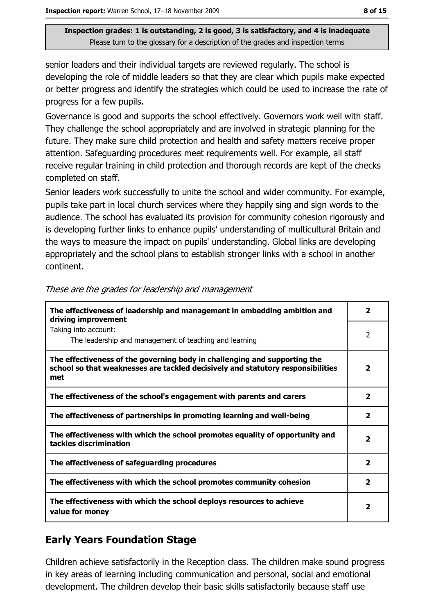senior leaders and their individual targets are reviewed regularly. The school is developing the role of middle leaders so that they are clear which pupils make expected or better progress and identify the strategies which could be used to increase the rate of progress for a few pupils.

Governance is good and supports the school effectively. Governors work well with staff. They challenge the school appropriately and are involved in strategic planning for the future. They make sure child protection and health and safety matters receive proper attention. Safeguarding procedures meet requirements well. For example, all staff receive regular training in child protection and thorough records are kept of the checks completed on staff.

Senior leaders work successfully to unite the school and wider community. For example, pupils take part in local church services where they happily sing and sign words to the audience. The school has evaluated its provision for community cohesion rigorously and is developing further links to enhance pupils' understanding of multicultural Britain and the ways to measure the impact on pupils' understanding. Global links are developing appropriately and the school plans to establish stronger links with a school in another continent.

| The effectiveness of leadership and management in embedding ambition and<br>driving improvement                                                                     | 2                       |
|---------------------------------------------------------------------------------------------------------------------------------------------------------------------|-------------------------|
| Taking into account:<br>The leadership and management of teaching and learning                                                                                      | 2                       |
| The effectiveness of the governing body in challenging and supporting the<br>school so that weaknesses are tackled decisively and statutory responsibilities<br>met | $\overline{2}$          |
| The effectiveness of the school's engagement with parents and carers                                                                                                | $\overline{2}$          |
| The effectiveness of partnerships in promoting learning and well-being                                                                                              | 2                       |
| The effectiveness with which the school promotes equality of opportunity and<br>tackles discrimination                                                              | $\overline{\mathbf{2}}$ |
| The effectiveness of safeguarding procedures                                                                                                                        | 2                       |
| The effectiveness with which the school promotes community cohesion                                                                                                 | 2                       |
| The effectiveness with which the school deploys resources to achieve<br>value for money                                                                             | $\overline{\mathbf{2}}$ |

#### These are the grades for leadership and management

### **Early Years Foundation Stage**

Children achieve satisfactorily in the Reception class. The children make sound progress in key areas of learning including communication and personal, social and emotional development. The children develop their basic skills satisfactorily because staff use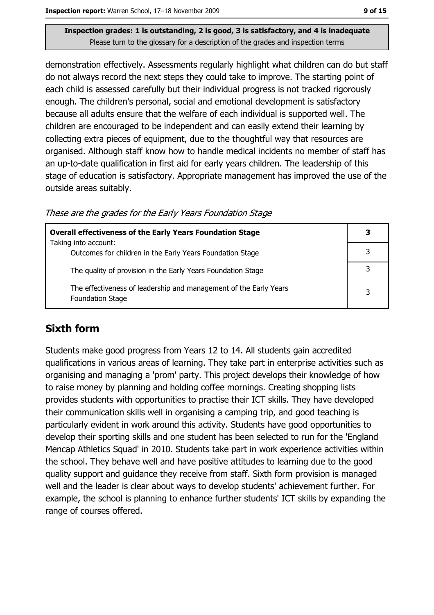demonstration effectively. Assessments regularly highlight what children can do but staff do not always record the next steps they could take to improve. The starting point of each child is assessed carefully but their individual progress is not tracked rigorously enough. The children's personal, social and emotional development is satisfactory because all adults ensure that the welfare of each individual is supported well. The children are encouraged to be independent and can easily extend their learning by collecting extra pieces of equipment, due to the thoughtful way that resources are organised. Although staff know how to handle medical incidents no member of staff has an up-to-date qualification in first aid for early years children. The leadership of this stage of education is satisfactory. Appropriate management has improved the use of the outside areas suitably.

These are the grades for the Early Years Foundation Stage

| <b>Overall effectiveness of the Early Years Foundation Stage</b>                             | 3 |
|----------------------------------------------------------------------------------------------|---|
| Taking into account:<br>Outcomes for children in the Early Years Foundation Stage            |   |
| The quality of provision in the Early Years Foundation Stage                                 |   |
| The effectiveness of leadership and management of the Early Years<br><b>Foundation Stage</b> | 3 |

## **Sixth form**

Students make good progress from Years 12 to 14. All students gain accredited qualifications in various areas of learning. They take part in enterprise activities such as organising and managing a 'prom' party. This project develops their knowledge of how to raise money by planning and holding coffee mornings. Creating shopping lists provides students with opportunities to practise their ICT skills. They have developed their communication skills well in organising a camping trip, and good teaching is particularly evident in work around this activity. Students have good opportunities to develop their sporting skills and one student has been selected to run for the 'England Mencap Athletics Squad' in 2010. Students take part in work experience activities within the school. They behave well and have positive attitudes to learning due to the good quality support and guidance they receive from staff. Sixth form provision is managed well and the leader is clear about ways to develop students' achievement further. For example, the school is planning to enhance further students' ICT skills by expanding the range of courses offered.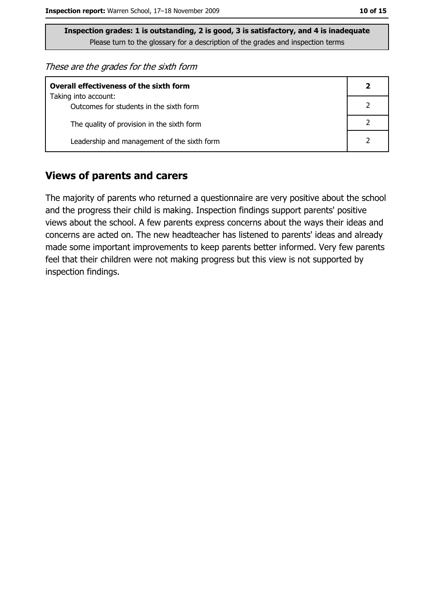These are the grades for the sixth form

| <b>Overall effectiveness of the sixth form</b>                  |  |  |
|-----------------------------------------------------------------|--|--|
| Taking into account:<br>Outcomes for students in the sixth form |  |  |
| The quality of provision in the sixth form                      |  |  |
| Leadership and management of the sixth form                     |  |  |

#### **Views of parents and carers**

The majority of parents who returned a questionnaire are very positive about the school and the progress their child is making. Inspection findings support parents' positive views about the school. A few parents express concerns about the ways their ideas and concerns are acted on. The new headteacher has listened to parents' ideas and already made some important improvements to keep parents better informed. Very few parents feel that their children were not making progress but this view is not supported by inspection findings.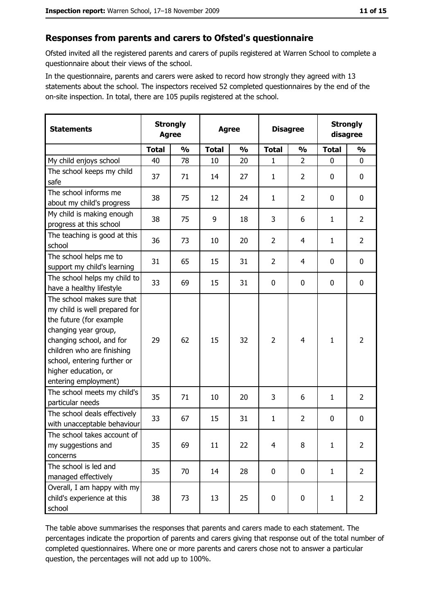#### Responses from parents and carers to Ofsted's questionnaire

Ofsted invited all the registered parents and carers of pupils registered at Warren School to complete a questionnaire about their views of the school.

In the questionnaire, parents and carers were asked to record how strongly they agreed with 13 statements about the school. The inspectors received 52 completed questionnaires by the end of the on-site inspection. In total, there are 105 pupils registered at the school.

| <b>Statements</b>                                                                                                                                                                                                                                       | <b>Strongly</b><br><b>Agree</b> |               | <b>Agree</b> |               |                | <b>Disagree</b> |              | <b>Strongly</b><br>disagree |  |
|---------------------------------------------------------------------------------------------------------------------------------------------------------------------------------------------------------------------------------------------------------|---------------------------------|---------------|--------------|---------------|----------------|-----------------|--------------|-----------------------------|--|
|                                                                                                                                                                                                                                                         | <b>Total</b>                    | $\frac{0}{0}$ | <b>Total</b> | $\frac{0}{0}$ | <b>Total</b>   | $\frac{0}{0}$   | <b>Total</b> | $\frac{0}{0}$               |  |
| My child enjoys school                                                                                                                                                                                                                                  | 40                              | 78            | 10           | 20            | 1              | $\overline{2}$  | $\mathbf 0$  | 0                           |  |
| The school keeps my child<br>safe                                                                                                                                                                                                                       | 37                              | 71            | 14           | 27            | $\mathbf{1}$   | $\overline{2}$  | 0            | 0                           |  |
| The school informs me<br>about my child's progress                                                                                                                                                                                                      | 38                              | 75            | 12           | 24            | 1              | $\overline{2}$  | 0            | 0                           |  |
| My child is making enough<br>progress at this school                                                                                                                                                                                                    | 38                              | 75            | 9            | 18            | 3              | 6               | 1            | $\overline{2}$              |  |
| The teaching is good at this<br>school                                                                                                                                                                                                                  | 36                              | 73            | 10           | 20            | $\overline{2}$ | 4               | $\mathbf{1}$ | $\overline{2}$              |  |
| The school helps me to<br>support my child's learning                                                                                                                                                                                                   | 31                              | 65            | 15           | 31            | $\overline{2}$ | 4               | 0            | 0                           |  |
| The school helps my child to<br>have a healthy lifestyle                                                                                                                                                                                                | 33                              | 69            | 15           | 31            | 0              | 0               | $\mathbf 0$  | 0                           |  |
| The school makes sure that<br>my child is well prepared for<br>the future (for example<br>changing year group,<br>changing school, and for<br>children who are finishing<br>school, entering further or<br>higher education, or<br>entering employment) | 29                              | 62            | 15           | 32            | $\overline{2}$ | 4               | $\mathbf{1}$ | $\overline{2}$              |  |
| The school meets my child's<br>particular needs                                                                                                                                                                                                         | 35                              | 71            | 10           | 20            | 3              | 6               | 1            | $\overline{2}$              |  |
| The school deals effectively<br>with unacceptable behaviour                                                                                                                                                                                             | 33                              | 67            | 15           | 31            | $\mathbf{1}$   | $\overline{2}$  | 0            | 0                           |  |
| The school takes account of<br>my suggestions and<br>concerns                                                                                                                                                                                           | 35                              | 69            | 11           | 22            | $\overline{4}$ | 8               | $\mathbf{1}$ | $\overline{2}$              |  |
| The school is led and<br>managed effectively                                                                                                                                                                                                            | 35                              | 70            | 14           | 28            | $\mathbf 0$    | 0               | $\mathbf{1}$ | $\overline{2}$              |  |
| Overall, I am happy with my<br>child's experience at this<br>school                                                                                                                                                                                     | 38                              | 73            | 13           | 25            | $\bf{0}$       | 0               | $\mathbf{1}$ | $\overline{2}$              |  |

The table above summarises the responses that parents and carers made to each statement. The percentages indicate the proportion of parents and carers giving that response out of the total number of completed questionnaires. Where one or more parents and carers chose not to answer a particular question, the percentages will not add up to 100%.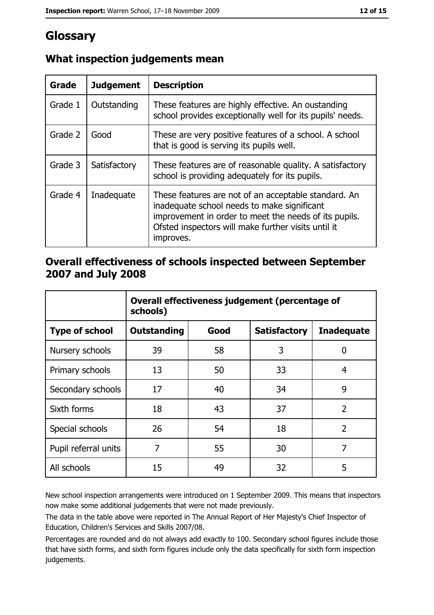# Glossary

| Grade   | <b>Judgement</b> | <b>Description</b>                                                                                                                                                                                                               |
|---------|------------------|----------------------------------------------------------------------------------------------------------------------------------------------------------------------------------------------------------------------------------|
| Grade 1 | Outstanding      | These features are highly effective. An oustanding<br>school provides exceptionally well for its pupils' needs.                                                                                                                  |
| Grade 2 | Good             | These are very positive features of a school. A school<br>that is good is serving its pupils well.                                                                                                                               |
| Grade 3 | Satisfactory     | These features are of reasonable quality. A satisfactory<br>school is providing adequately for its pupils.                                                                                                                       |
| Grade 4 | Inadequate       | These features are not of an acceptable standard. An<br>inadequate school needs to make significant<br>improvement in order to meet the needs of its pupils.<br>Ofsted inspectors will make further visits until it<br>improves. |

### What inspection judgements mean

#### Overall effectiveness of schools inspected between September 2007 and July 2008

|                       | Overall effectiveness judgement (percentage of<br>schools) |      |                     |                   |
|-----------------------|------------------------------------------------------------|------|---------------------|-------------------|
| <b>Type of school</b> | <b>Outstanding</b>                                         | Good | <b>Satisfactory</b> | <b>Inadequate</b> |
| Nursery schools       | 39                                                         | 58   | 3                   | 0                 |
| Primary schools       | 13                                                         | 50   | 33                  | 4                 |
| Secondary schools     | 17                                                         | 40   | 34                  | 9                 |
| Sixth forms           | 18                                                         | 43   | 37                  | $\overline{2}$    |
| Special schools       | 26                                                         | 54   | 18                  | $\overline{2}$    |
| Pupil referral units  | 7                                                          | 55   | 30                  | 7                 |
| All schools           | 15                                                         | 49   | 32                  | 5                 |

New school inspection arrangements were introduced on 1 September 2009. This means that inspectors now make some additional judgements that were not made previously.

The data in the table above were reported in The Annual Report of Her Majesty's Chief Inspector of Education, Children's Services and Skills 2007/08.

Percentages are rounded and do not always add exactly to 100. Secondary school figures include those that have sixth forms, and sixth form figures include only the data specifically for sixth form inspection judgements.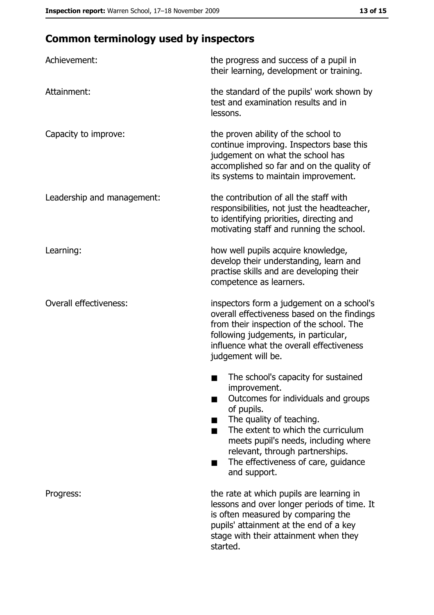# **Common terminology used by inspectors**

| Achievement:                  | the progress and success of a pupil in<br>their learning, development or training.                                                                                                                                                                                                                           |
|-------------------------------|--------------------------------------------------------------------------------------------------------------------------------------------------------------------------------------------------------------------------------------------------------------------------------------------------------------|
| Attainment:                   | the standard of the pupils' work shown by<br>test and examination results and in<br>lessons.                                                                                                                                                                                                                 |
| Capacity to improve:          | the proven ability of the school to<br>continue improving. Inspectors base this<br>judgement on what the school has<br>accomplished so far and on the quality of<br>its systems to maintain improvement.                                                                                                     |
| Leadership and management:    | the contribution of all the staff with<br>responsibilities, not just the headteacher,<br>to identifying priorities, directing and<br>motivating staff and running the school.                                                                                                                                |
| Learning:                     | how well pupils acquire knowledge,<br>develop their understanding, learn and<br>practise skills and are developing their<br>competence as learners.                                                                                                                                                          |
| <b>Overall effectiveness:</b> | inspectors form a judgement on a school's<br>overall effectiveness based on the findings<br>from their inspection of the school. The<br>following judgements, in particular,<br>influence what the overall effectiveness<br>judgement will be.                                                               |
|                               | The school's capacity for sustained<br>improvement.<br>Outcomes for individuals and groups<br>of pupils.<br>The quality of teaching.<br>The extent to which the curriculum<br>meets pupil's needs, including where<br>relevant, through partnerships.<br>The effectiveness of care, guidance<br>and support. |
| Progress:                     | the rate at which pupils are learning in<br>lessons and over longer periods of time. It<br>is often measured by comparing the<br>pupils' attainment at the end of a key<br>stage with their attainment when they<br>started.                                                                                 |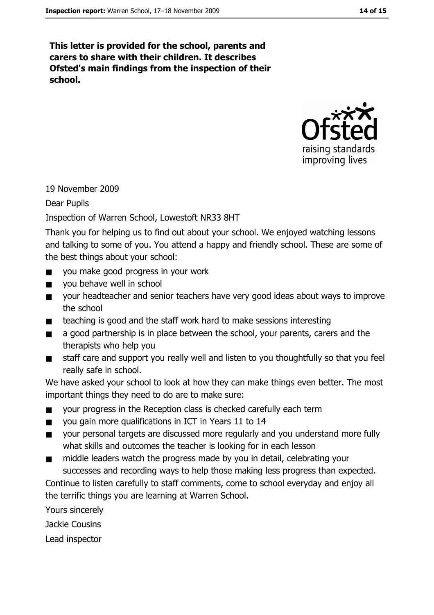This letter is provided for the school, parents and carers to share with their children. It describes Ofsted's main findings from the inspection of their school.



19 November 2009

**Dear Pupils** 

#### Inspection of Warren School, Lowestoft NR33 8HT

Thank you for helping us to find out about your school. We enjoyed watching lessons and talking to some of you. You attend a happy and friendly school. These are some of the best things about your school:

- vou make good progress in your work  $\blacksquare$
- you behave well in school  $\blacksquare$
- your headteacher and senior teachers have very good ideas about ways to improve  $\blacksquare$ the school
- teaching is good and the staff work hard to make sessions interesting  $\mathbf{r}$
- a good partnership is in place between the school, your parents, carers and the  $\blacksquare$ therapists who help you
- staff care and support you really well and listen to you thoughtfully so that you feel  $\blacksquare$ really safe in school.

We have asked your school to look at how they can make things even better. The most important things they need to do are to make sure:

- your progress in the Reception class is checked carefully each term  $\blacksquare$
- you gain more qualifications in ICT in Years 11 to 14  $\blacksquare$
- your personal targets are discussed more regularly and you understand more fully  $\blacksquare$ what skills and outcomes the teacher is looking for in each lesson
- middle leaders watch the progress made by you in detail, celebrating your  $\blacksquare$ successes and recording ways to help those making less progress than expected.

Continue to listen carefully to staff comments, come to school everyday and enjoy all the terrific things you are learning at Warren School.

Yours sincerely

Jackie Cousins

Lead inspector